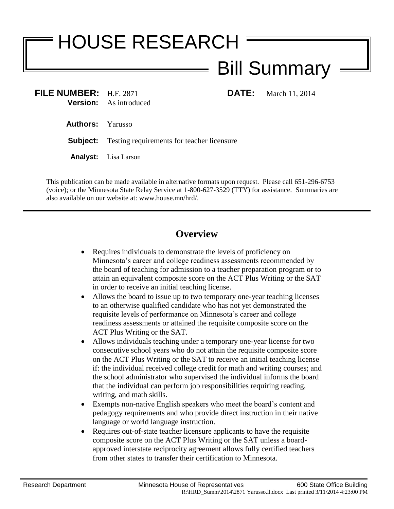# HOUSE RESEARCH Bill Summary

**FILE NUMBER:** H.F. 2871 **DATE:** March 11, 2014 **Version:** As introduced

**Authors:** Yarusso

**Subject:** Testing requirements for teacher licensure

**Analyst:** Lisa Larson

This publication can be made available in alternative formats upon request. Please call 651-296-6753 (voice); or the Minnesota State Relay Service at 1-800-627-3529 (TTY) for assistance. Summaries are also available on our website at: www.house.mn/hrd/.

## **Overview**

- Requires individuals to demonstrate the levels of proficiency on Minnesota's career and college readiness assessments recommended by the board of teaching for admission to a teacher preparation program or to attain an equivalent composite score on the ACT Plus Writing or the SAT in order to receive an initial teaching license.
- Allows the board to issue up to two temporary one-year teaching licenses to an otherwise qualified candidate who has not yet demonstrated the requisite levels of performance on Minnesota's career and college readiness assessments or attained the requisite composite score on the ACT Plus Writing or the SAT.
- Allows individuals teaching under a temporary one-year license for two consecutive school years who do not attain the requisite composite score on the ACT Plus Writing or the SAT to receive an initial teaching license if: the individual received college credit for math and writing courses; and the school administrator who supervised the individual informs the board that the individual can perform job responsibilities requiring reading, writing, and math skills.
- Exempts non-native English speakers who meet the board's content and pedagogy requirements and who provide direct instruction in their native language or world language instruction.
- Requires out-of-state teacher licensure applicants to have the requisite composite score on the ACT Plus Writing or the SAT unless a boardapproved interstate reciprocity agreement allows fully certified teachers from other states to transfer their certification to Minnesota.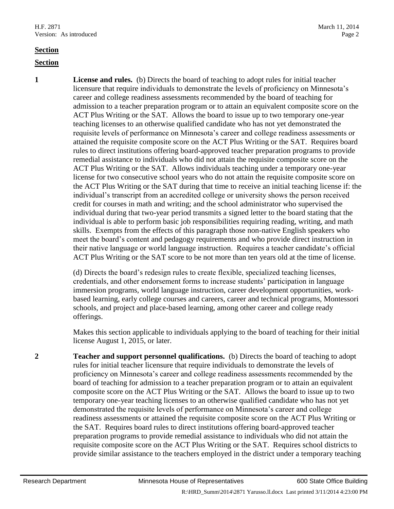#### **Section**

#### **Section**

**1 License and rules.** (b) Directs the board of teaching to adopt rules for initial teacher licensure that require individuals to demonstrate the levels of proficiency on Minnesota's career and college readiness assessments recommended by the board of teaching for admission to a teacher preparation program or to attain an equivalent composite score on the ACT Plus Writing or the SAT. Allows the board to issue up to two temporary one-year teaching licenses to an otherwise qualified candidate who has not yet demonstrated the requisite levels of performance on Minnesota's career and college readiness assessments or attained the requisite composite score on the ACT Plus Writing or the SAT. Requires board rules to direct institutions offering board-approved teacher preparation programs to provide remedial assistance to individuals who did not attain the requisite composite score on the ACT Plus Writing or the SAT. Allows individuals teaching under a temporary one-year license for two consecutive school years who do not attain the requisite composite score on the ACT Plus Writing or the SAT during that time to receive an initial teaching license if: the individual's transcript from an accredited college or university shows the person received credit for courses in math and writing; and the school administrator who supervised the individual during that two-year period transmits a signed letter to the board stating that the individual is able to perform basic job responsibilities requiring reading, writing, and math skills. Exempts from the effects of this paragraph those non-native English speakers who meet the board's content and pedagogy requirements and who provide direct instruction in their native language or world language instruction. Requires a teacher candidate's official ACT Plus Writing or the SAT score to be not more than ten years old at the time of license.

> (d) Directs the board's redesign rules to create flexible, specialized teaching licenses, credentials, and other endorsement forms to increase students' participation in language immersion programs, world language instruction, career development opportunities, workbased learning, early college courses and careers, career and technical programs, Montessori schools, and project and place-based learning, among other career and college ready offerings.

> Makes this section applicable to individuals applying to the board of teaching for their initial license August 1, 2015, or later.

**2 Teacher and support personnel qualifications.** (b) Directs the board of teaching to adopt rules for initial teacher licensure that require individuals to demonstrate the levels of proficiency on Minnesota's career and college readiness assessments recommended by the board of teaching for admission to a teacher preparation program or to attain an equivalent composite score on the ACT Plus Writing or the SAT. Allows the board to issue up to two temporary one-year teaching licenses to an otherwise qualified candidate who has not yet demonstrated the requisite levels of performance on Minnesota's career and college readiness assessments or attained the requisite composite score on the ACT Plus Writing or the SAT. Requires board rules to direct institutions offering board-approved teacher preparation programs to provide remedial assistance to individuals who did not attain the requisite composite score on the ACT Plus Writing or the SAT. Requires school districts to provide similar assistance to the teachers employed in the district under a temporary teaching